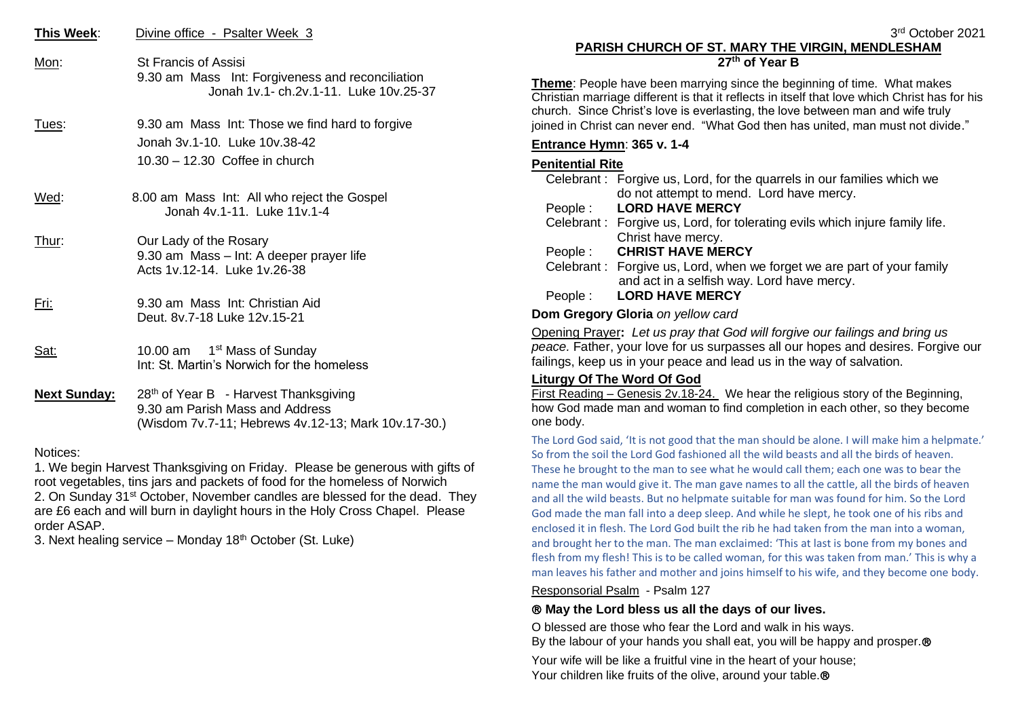| This Week: | Divine office - Psalter Week 3 |
|------------|--------------------------------|
|            |                                |

- Mon: St Francis of Assisi 9.30 am Mass Int: Forgiveness and reconciliation Jonah 1v.1- ch.2v.1-11. Luke 10v.25-37
- Tues: 9.30 am Mass Int: Those we find hard to forgive Jonah 3v.1-10. Luke 10v.38-42 10.30 – 12.30 Coffee in church
- Wed: 8.00 am Mass Int: All who reject the Gospel Jonah 4v.1-11. Luke 11v.1-4
- Thur: Our Lady of the Rosary 9.30 am Mass – Int: A deeper prayer life Acts 1v.12-14. Luke 1v.26-38
- Fri: 9.30 am Mass Int: Christian Aid Deut. 8v.7-18 Luke 12v.15-21
- Sat: 10.00 am 1 1<sup>st</sup> Mass of Sunday Int: St. Martin's Norwich for the homeless
- Next Sunday: 28<sup>th</sup> of Year B Harvest Thanksgiving 9.30 am Parish Mass and Address (Wisdom 7v.7-11; Hebrews 4v.12-13; Mark 10v.17-30.)

#### Notices:

1. We begin Harvest Thanksgiving on Friday. Please be generous with gifts of root vegetables, tins jars and packets of food for the homeless of Norwich 2. On Sunday 31<sup>st</sup> October, November candles are blessed for the dead. They are £6 each and will burn in daylight hours in the Holy Cross Chapel. Please order ASAP.

3. Next healing service – Monday  $18<sup>th</sup>$  October (St. Luke)

# **PARISH CHURCH OF ST. MARY THE VIRGIN, MENDLESHAM 27th of Year B**

**Theme**: People have been marrying since the beginning of time. What makes Christian marriage different is that it reflects in itself that love which Christ has for his church. Since Christ's love is everlasting, the love between man and wife truly joined in Christ can never end. "What God then has united, man must not divide."

# **Entrance Hymn**: **365 v. 1-4**

# **Penitential Rite**

|  | Celebrant: Forgive us, Lord, for the quarrels in our families which we      |
|--|-----------------------------------------------------------------------------|
|  | do not attempt to mend. Lord have mercy.                                    |
|  | People: LORD HAVE MERCY                                                     |
|  | Celebrant: Forgive us, Lord, for tolerating evils which injure family life. |
|  | Christ have mercy.                                                          |
|  | People: CHRIST HAVE MERCY                                                   |
|  | Celebrant: Forgive us, Lord, when we forget we are part of your family      |
|  | and act in a selfish way. Lord have mercy.                                  |
|  | People: LORD HAVE MERCY                                                     |
|  |                                                                             |

## **Dom Gregory Gloria** *on yellow card*

Opening Prayer**:** *Let us pray that God will forgive our failings and bring us peace.* Father, your love for us surpasses all our hopes and desires. Forgive our failings, keep us in your peace and lead us in the way of salvation.

## **Liturgy Of The Word Of God**

First Reading – Genesis 2v.18-24. We hear the religious story of the Beginning, how God made man and woman to find completion in each other, so they become one body.

The Lord God said, 'It is not good that the man should be alone. I will make him a helpmate.' So from the soil the Lord God fashioned all the wild beasts and all the birds of heaven. These he brought to the man to see what he would call them; each one was to bear the name the man would give it. The man gave names to all the cattle, all the birds of heaven and all the wild beasts. But no helpmate suitable for man was found for him. So the Lord God made the man fall into a deep sleep. And while he slept, he took one of his ribs and enclosed it in flesh. The Lord God built the rib he had taken from the man into a woman, and brought her to the man. The man exclaimed: 'This at last is bone from my bones and flesh from my flesh! This is to be called woman, for this was taken from man.' This is why a man leaves his father and mother and joins himself to his wife, and they become one body.

Responsorial Psalm - Psalm 127

# **May the Lord bless us all the days of our lives.**

O blessed are those who fear the Lord and walk in his ways. By the labour of your hands you shall eat, you will be happy and prosper.<sup>®</sup> Your wife will be like a fruitful vine in the heart of your house; Your children like fruits of the olive, around your table.<sup>®</sup>